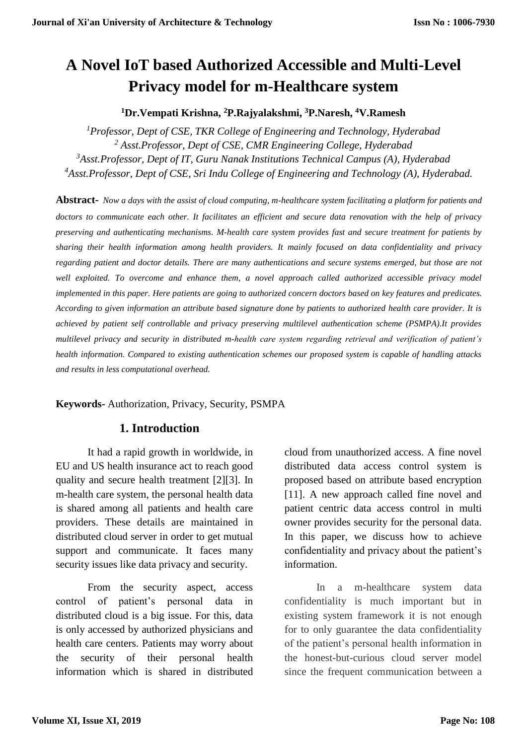# **A Novel IoT based Authorized Accessible and Multi-Level Privacy model for m-Healthcare system**

#### **<sup>1</sup>Dr.Vempati Krishna, <sup>2</sup>P.Rajyalakshmi, <sup>3</sup>P.Naresh, <sup>4</sup>V.Ramesh**

*Professor, Dept of CSE, TKR College of Engineering and Technology, Hyderabad Asst.Professor, Dept of CSE, CMR Engineering College, Hyderabad Asst.Professor, Dept of IT, Guru Nanak Institutions Technical Campus (A), Hyderabad Asst.Professor, Dept of CSE, Sri Indu College of Engineering and Technology (A), Hyderabad.*

**Abstract-** *Now a days with the assist of cloud computing, m-healthcare system facilitating a platform for patients and doctors to communicate each other. It facilitates an efficient and secure data renovation with the help of privacy preserving and authenticating mechanisms. M-health care system provides fast and secure treatment for patients by sharing their health information among health providers. It mainly focused on data confidentiality and privacy regarding patient and doctor details. There are many authentications and secure systems emerged, but those are not* well exploited. To overcome and enhance them, a novel approach called authorized accessible privacy model *implemented in this paper. Here patients are going to authorized concern doctors based on key features and predicates. According to given information an attribute based signature done by patients to authorized health care provider. It is achieved by patient self controllable and privacy preserving multilevel authentication scheme (PSMPA).It provides multilevel privacy and security in distributed m-health care system regarding retrieval and verification of patient's health information. Compared to existing authentication schemes our proposed system is capable of handling attacks and results in less computational overhead.*

**Keywords-** Authorization, Privacy, Security, PSMPA

## **1. Introduction**

It had a rapid growth in worldwide, in EU and US health insurance act to reach good quality and secure health treatment [2][3]. In m-health care system, the personal health data is shared among all patients and health care providers. These details are maintained in distributed cloud server in order to get mutual support and communicate. It faces many security issues like data privacy and security.

From the security aspect, access control of patient's personal data in distributed cloud is a big issue. For this, data is only accessed by authorized physicians and health care centers. Patients may worry about the security of their personal health information which is shared in distributed cloud from unauthorized access. A fine novel distributed data access control system is proposed based on attribute based encryption [11]. A new approach called fine novel and patient centric data access control in multi owner provides security for the personal data. In this paper, we discuss how to achieve confidentiality and privacy about the patient's information.

In a m-healthcare system data confidentiality is much important but in existing system framework it is not enough for to only guarantee the data confidentiality of the patient's personal health information in the honest-but-curious cloud server model since the frequent communication between a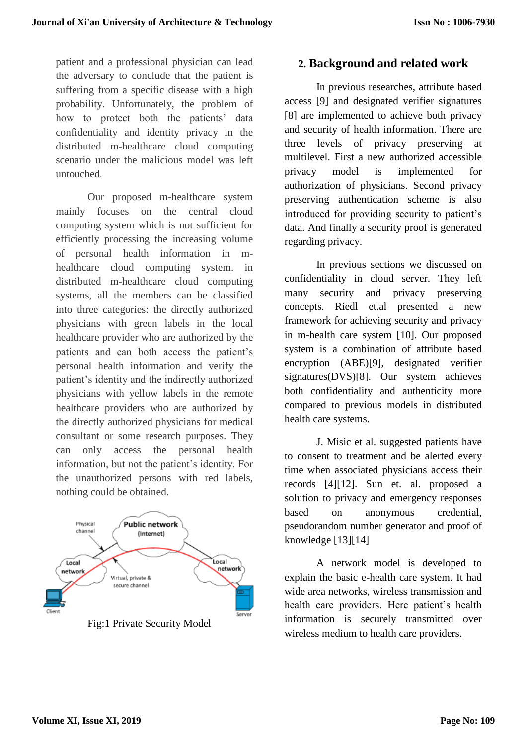patient and a professional physician can lead the adversary to conclude that the patient is suffering from a specific disease with a high probability. Unfortunately, the problem of how to protect both the patients' data confidentiality and identity privacy in the distributed m-healthcare cloud computing scenario under the malicious model was left untouched.

Our proposed m-healthcare system mainly focuses on the central cloud computing system which is not sufficient for efficiently processing the increasing volume of personal health information in mhealthcare cloud computing system. in distributed m-healthcare cloud computing systems, all the members can be classified into three categories: the directly authorized physicians with green labels in the local healthcare provider who are authorized by the patients and can both access the patient's personal health information and verify the patient's identity and the indirectly authorized physicians with yellow labels in the remote healthcare providers who are authorized by the directly authorized physicians for medical consultant or some research purposes. They can only access the personal health information, but not the patient's identity. For the unauthorized persons with red labels, nothing could be obtained.



Fig:1 Private Security Model

## **2. Background and related work**

In previous researches, attribute based access [9] and designated verifier signatures [8] are implemented to achieve both privacy and security of health information. There are three levels of privacy preserving at multilevel. First a new authorized accessible privacy model is implemented for authorization of physicians. Second privacy preserving authentication scheme is also introduced for providing security to patient's data. And finally a security proof is generated regarding privacy.

In previous sections we discussed on confidentiality in cloud server. They left many security and privacy preserving concepts. Riedl et.al presented a new framework for achieving security and privacy in m-health care system [10]. Our proposed system is a combination of attribute based encryption (ABE)[9], designated verifier signatures(DVS)[8]. Our system achieves both confidentiality and authenticity more compared to previous models in distributed health care systems.

J. Misic et al. suggested patients have to consent to treatment and be alerted every time when associated physicians access their records [4][12]. Sun et. al. proposed a solution to privacy and emergency responses based on anonymous credential, pseudorandom number generator and proof of knowledge [13][14]

A network model is developed to explain the basic e-health care system. It had wide area networks, wireless transmission and health care providers. Here patient's health information is securely transmitted over wireless medium to health care providers.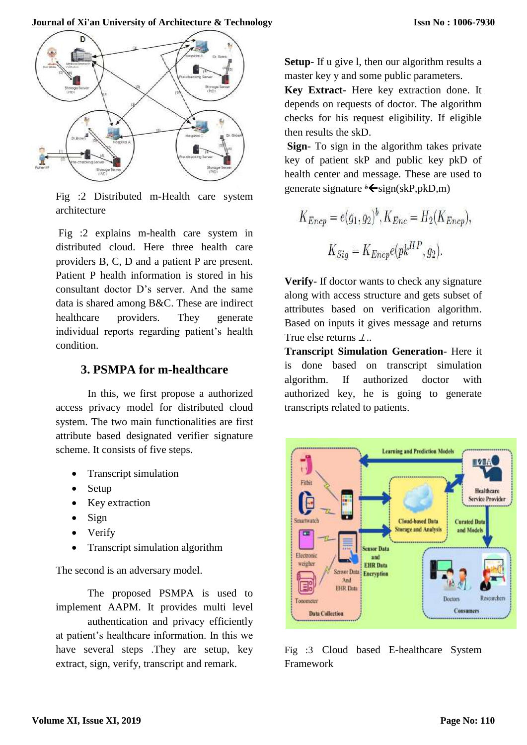

Fig :2 Distributed m-Health care system architecture

Fig :2 explains m-health care system in distributed cloud. Here three health care providers B, C, D and a patient P are present. Patient P health information is stored in his consultant doctor D's server. And the same data is shared among B&C. These are indirect healthcare providers. They generate individual reports regarding patient's health condition.

## **3. PSMPA for m-healthcare**

In this, we first propose a authorized access privacy model for distributed cloud system. The two main functionalities are first attribute based designated verifier signature scheme. It consists of five steps.

- Transcript simulation
- Setup
- Key extraction
- $\bullet$  Sign
- Verify
- Transcript simulation algorithm

The second is an adversary model.

The proposed PSMPA is used to implement AAPM. It provides multi level authentication and privacy efficiently at patient's healthcare information. In this we have several steps .They are setup, key extract, sign, verify, transcript and remark.

**Setup**- If u give 1, then our algorithm results a master key y and some public parameters.

**Key Extract-** Here key extraction done. It depends on requests of doctor. The algorithm checks for his request eligibility. If eligible then results the skD.

**Sign**- To sign in the algorithm takes private key of patient skP and public key pkD of health center and message. These are used to generate signature <sup>8</sup> ← sign(skP,pkD,m)

$$
K_{Encp} = e(g_1, g_2)^b, K_{Enc} = H_2(K_{Encp}),
$$
  

$$
K_{Sig} = K_{Encp}e(pk^{HP}, g_2).
$$

**Verify**- If doctor wants to check any signature along with access structure and gets subset of attributes based on verification algorithm. Based on inputs it gives message and returns True else returns ⊥*..*

**Transcript Simulation Generation**- Here it is done based on transcript simulation algorithm. If authorized doctor with authorized key, he is going to generate transcripts related to patients.



Fig :3 Cloud based E-healthcare System Framework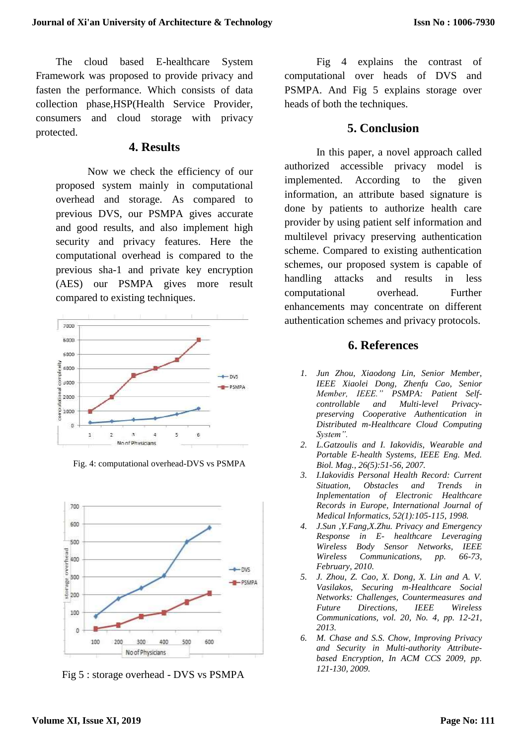The cloud based E-healthcare System Framework was proposed to provide privacy and fasten the performance. Which consists of data collection phase,HSP(Health Service Provider, consumers and cloud storage with privacy protected.

#### **4. Results**

Now we check the efficiency of our proposed system mainly in computational overhead and storage. As compared to previous DVS, our PSMPA gives accurate and good results, and also implement high security and privacy features. Here the computational overhead is compared to the previous sha-1 and private key encryption (AES) our PSMPA gives more result compared to existing techniques.



Fig. 4: computational overhead-DVS vs PSMPA



Fig 5 : storage overhead - DVS vs PSMPA

Fig 4 explains the contrast of computational over heads of DVS and PSMPA. And Fig 5 explains storage over heads of both the techniques.

#### **5. Conclusion**

In this paper, a novel approach called authorized accessible privacy model is implemented. According to the given information, an attribute based signature is done by patients to authorize health care provider by using patient self information and multilevel privacy preserving authentication scheme. Compared to existing authentication schemes, our proposed system is capable of handling attacks and results in less computational overhead. Further enhancements may concentrate on different authentication schemes and privacy protocols.

#### **6. References**

- *1. Jun Zhou, Xiaodong Lin, Senior Member, IEEE Xiaolei Dong, Zhenfu Cao, Senior Member, IEEE." PSMPA: Patient Selfcontrollable and Multi-level Privacypreserving Cooperative Authentication in Distributed m-Healthcare Cloud Computing System".*
- *2. L.Gatzoulis and I. Iakovidis, Wearable and Portable E-health Systems, IEEE Eng. Med. Biol. Mag., 26(5):51-56, 2007.*
- *3. I.Iakovidis Personal Health Record: Current Situation, Obstacles and Trends in Inplementation of Electronic Healthcare Records in Europe, International Journal of Medical Informatics, 52(1):105-115, 1998.*
- *4. J.Sun ,Y.Fang,X.Zhu. Privacy and Emergency Response in E- healthcare Leveraging Wireless Body Sensor Networks, IEEE Wireless Communications, pp. 66-73, February, 2010.*
- *5. J. Zhou, Z. Cao, X. Dong, X. Lin and A. V. Vasilakos, Securing m-Healthcare Social Networks: Challenges, Countermeasures and Future Directions, IEEE Wireless Communications, vol. 20, No. 4, pp. 12-21, 2013.*
- *6. M. Chase and S.S. Chow, Improving Privacy and Security in Multi-authority Attributebased Encryption, In ACM CCS 2009, pp. 121-130, 2009.*